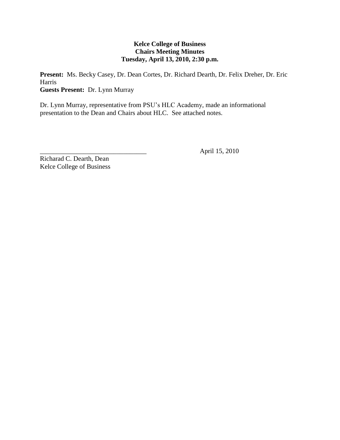# **Kelce College of Business Chairs Meeting Minutes Tuesday, April 13, 2010, 2:30 p.m.**

**Present:** Ms. Becky Casey, Dr. Dean Cortes, Dr. Richard Dearth, Dr. Felix Dreher, Dr. Eric Harris **Guests Present:** Dr. Lynn Murray

Dr. Lynn Murray, representative from PSU's HLC Academy, made an informational presentation to the Dean and Chairs about HLC. See attached notes.

\_\_\_\_\_\_\_\_\_\_\_\_\_\_\_\_\_\_\_\_\_\_\_\_\_\_\_\_\_\_\_\_ April 15, 2010

Richarad C. Dearth, Dean Kelce College of Business